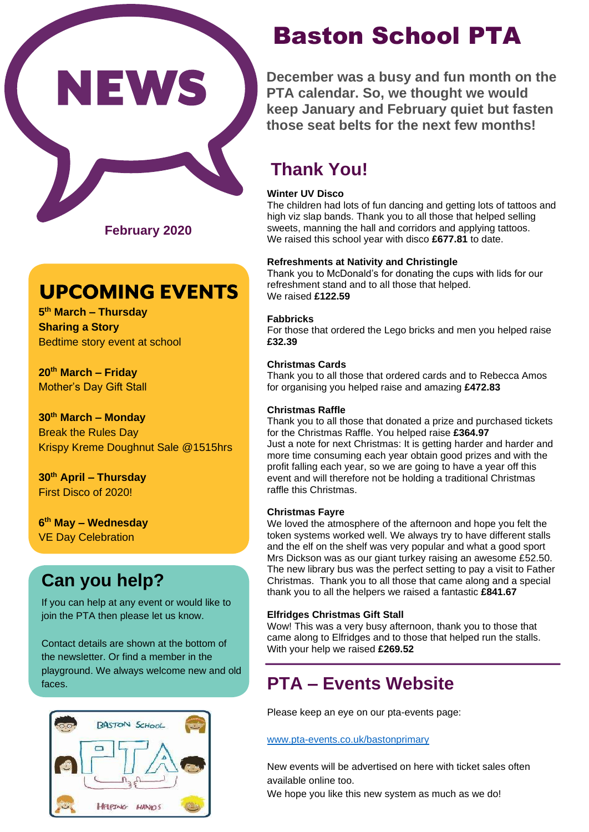

**February 2020**

# **UPCOMING EVENTS**

**5 th March – Thursday Sharing a Story** Bedtime story event at school

**20th March – Friday** Mother's Day Gift Stall

**30th March – Monday**  Break the Rules Day Krispy Kreme Doughnut Sale @1515hrs

**30th April – Thursday**  First Disco of 2020!

**6 th May – Wednesday**  VE Day Celebration

## **Can you help?**

If you can help at any event or would like to join the PTA then please let us know.

Contact details are shown at the bottom of the newsletter. Or find a member in the playground. We always welcome new and old faces.



# Baston School PTA

**December was a busy and fun month on the PTA calendar. So, we thought we would keep January and February quiet but fasten those seat belts for the next few months!**

## **Thank You!**

#### **Winter UV Disco**

The children had lots of fun dancing and getting lots of tattoos and high viz slap bands. Thank you to all those that helped selling sweets, manning the hall and corridors and applying tattoos. We raised this school year with disco **£677.81** to date.

#### **Refreshments at Nativity and Christingle**

Thank you to McDonald's for donating the cups with lids for our refreshment stand and to all those that helped. We raised **£122.59**

#### **Fabbricks**

For those that ordered the Lego bricks and men you helped raise **£32.39**

#### **Christmas Cards**

Thank you to all those that ordered cards and to Rebecca Amos for organising you helped raise and amazing **£472.83**

#### **Christmas Raffle**

Thank you to all those that donated a prize and purchased tickets for the Christmas Raffle. You helped raise **£364.97** Just a note for next Christmas: It is getting harder and harder and more time consuming each year obtain good prizes and with the profit falling each year, so we are going to have a year off this event and will therefore not be holding a traditional Christmas raffle this Christmas.

#### **Christmas Fayre**

We loved the atmosphere of the afternoon and hope you felt the token systems worked well. We always try to have different stalls and the elf on the shelf was very popular and what a good sport Mrs Dickson was as our giant turkey raising an awesome £52.50. The new library bus was the perfect setting to pay a visit to Father Christmas. Thank you to all those that came along and a special thank you to all the helpers we raised a fantastic **£841.67**

#### **Elfridges Christmas Gift Stall**

Wow! This was a very busy afternoon, thank you to those that came along to Elfridges and to those that helped run the stalls. With your help we raised **£269.52**

## **PTA – Events Website**

Please keep an eye on our pta-events page:

#### [www.pta-events.co.uk/bastonprimary](http://www.pta-events.co.uk/bastonprimary)

New events will be advertised on here with ticket sales often available online too.

We hope you like this new system as much as we do!